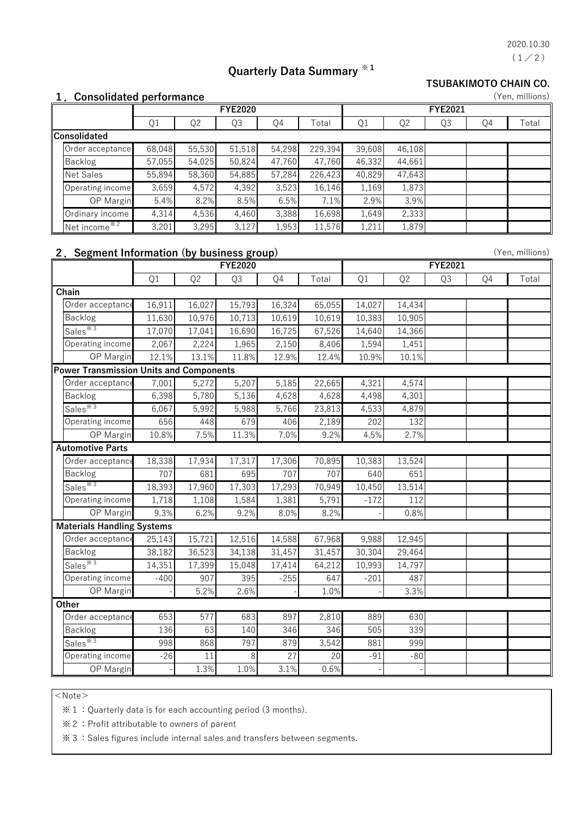$(1/2)$ 2020.10.30

(Yen, millions)

# **Quarterly Data Summary ※1**

#### **TSUBAKIMOTO CHAIN CO.**

| 1. Consolidated performance |  |
|-----------------------------|--|
|-----------------------------|--|

|              |                          |        | <b>FYE2020</b> |        |        |         |        | <b>FYE2021</b> |    |    |       |  |
|--------------|--------------------------|--------|----------------|--------|--------|---------|--------|----------------|----|----|-------|--|
|              |                          | Q1     | Q <sub>2</sub> | Q3     | Q4     | Total   | Q1     | Q <sub>2</sub> | Q3 | Q4 | Total |  |
| Consolidated |                          |        |                |        |        |         |        |                |    |    |       |  |
|              | Order acceptance         | 68,048 | 55,530         | 51,518 | 54,298 | 229,394 | 39,608 | 46,108         |    |    |       |  |
|              | <b>Backlog</b>           | 57,055 | 54,025         | 50,824 | 47,760 | 47,760  | 46,332 | 44,661         |    |    |       |  |
|              | <b>Net Sales</b>         | 55,894 | 58,360         | 54,885 | 57,284 | 226,423 | 40,829 | 47,643         |    |    |       |  |
|              | Operating income         | 3,659  | 4,572          | 4,392  | 3,523  | 16,146  | 1,169  | 1,873          |    |    |       |  |
|              | OP Margin                | 5.4%   | 8.2%           | 8.5%   | 6.5%   | 7.1%    | 2.9%   | 3.9%           |    |    |       |  |
|              | Ordinary income          | 4,314  | 4,536          | 4,460  | 3,388  | 16,698  | 1,649  | 2,333          |    |    |       |  |
|              | Net income <sup>*2</sup> | 3,201  | 3,295          | 3,127  | 1,953  | 11,576  | 1,211  | 1,879          |    |    |       |  |

#### **2.Segment Information (by business group)**

| 2. Segment Information (by business group) |                |                |        |                 |        |                |                |    |    | (Yen, millions) |
|--------------------------------------------|----------------|----------------|--------|-----------------|--------|----------------|----------------|----|----|-----------------|
|                                            | <b>FYE2020</b> |                |        |                 |        | <b>FYE2021</b> |                |    |    |                 |
|                                            | Q1             | Q <sub>2</sub> | Q3     | Q4              | Total  | Q1             | Q <sub>2</sub> | Q3 | Q4 | Total           |
| Chain                                      |                |                |        |                 |        |                |                |    |    |                 |
| Order acceptance                           | 16,911         | 16,027         | 15,793 | 16,324          | 65,055 | 14,027         | 14,434         |    |    |                 |
| Backlog                                    | 11,630         | 10,976         | 10,713 | 10,619          | 10,619 | 10,383         | 10,905         |    |    |                 |
| Sales <sup>*3</sup>                        | 17,070         | 17,041         | 16,690 | 16,725          | 67,526 | 14,640         | 14,366         |    |    |                 |
| Operating income                           | 2,067          | 2,224          | 1,965  | 2,150           | 8,406  | 1,594          | 1,451          |    |    |                 |
| OP Margin                                  | 12.1%          | 13.1%          | 11.8%  | 12.9%           | 12.4%  | 10.9%          | 10.1%          |    |    |                 |
| Power Transmission Units and Components    |                |                |        |                 |        |                |                |    |    |                 |
| Order acceptance                           | 7,001          | 5,272          | 5,207  | 5,185           | 22,665 | 4,321          | 4,574          |    |    |                 |
| Backlog                                    | 6,398          | 5,780          | 5,136  | 4,628           | 4,628  | 4,498          | 4,301          |    |    |                 |
| Sales <sup>*3</sup>                        | 6,067          | 5,992          | 5,988  | 5,766           | 23,813 | 4,533          | 4,879          |    |    |                 |
| Operating income                           | 656            | 448            | 679    | 406             | 2,189  | 202            | 132            |    |    |                 |
| OP Margin                                  | 10.8%          | 7.5%           | 11.3%  | 7.0%            | 9.2%   | 4.5%           | 2.7%           |    |    |                 |
| <b>Automotive Parts</b>                    |                |                |        |                 |        |                |                |    |    |                 |
| Order acceptance                           | 18,338         | 17,934         | 17,317 | 17,306          | 70,895 | 10,383         | 13,524         |    |    |                 |
| Backlog                                    | 707            | 681            | 695    | 707             | 707    | 640            | 651            |    |    |                 |
| Sales <sup>*3</sup>                        | 18,393         | 17,960         | 17,303 | 17,293          | 70,949 | 10,450         | 13,514         |    |    |                 |
| Operating income                           | 1,718          | 1,108          | 1,584  | 1,381           | 5,791  | $-172$         | 112            |    |    |                 |
| OP Margin                                  | 9.3%           | 6.2%           | 9.2%   | 8.0%            | 8.2%   |                | 0.8%           |    |    |                 |
| <b>Materials Handling Systems</b>          |                |                |        |                 |        |                |                |    |    |                 |
| Order acceptance                           | 25,143         | 15,721         | 12,516 | 14,588          | 67,968 | 9,988          | 12,945         |    |    |                 |
| Backlog                                    | 38,182         | 36,523         | 34,138 | 31,457          | 31,457 | 30,304         | 29,464         |    |    |                 |
| Sales <sup>*3</sup>                        | 14,351         | 17,399         | 15,048 | 17,414          | 64,212 | 10,993         | 14,797         |    |    |                 |
| Operating income                           | $-400$         | 907            | 395    | $-255$          | 647    | $-201$         | 487            |    |    |                 |
| OP Margin                                  |                | 5.2%           | 2.6%   |                 | 1.0%   |                | 3.3%           |    |    |                 |
| Other                                      |                |                |        |                 |        |                |                |    |    |                 |
| Order acceptance                           | 653            | 577            | 683    | 897             | 2,810  | 889            | 630            |    |    |                 |
| Backlog                                    | 136            | 63             | 140    | 346             | 346    | 505            | 339            |    |    |                 |
| Sales <sup>*3</sup>                        | 998            | 868            | 797    | 879             | 3,542  | 881            | 999            |    |    |                 |
| Operating income                           | $-26$          | 11             | 8      | $\overline{27}$ | 20     | $-91$          | $-80$          |    |    |                 |
| OP Margin                                  |                | 1.3%           | 1.0%   | 3.1%            | 0.6%   |                |                |    |    |                 |

 $<$  Note  $>$ 

※1:Quarterly data is for each accounting period (3 months).

※2:Profit attributable to owners of parent

※3:Sales figures include internal sales and transfers between segments.